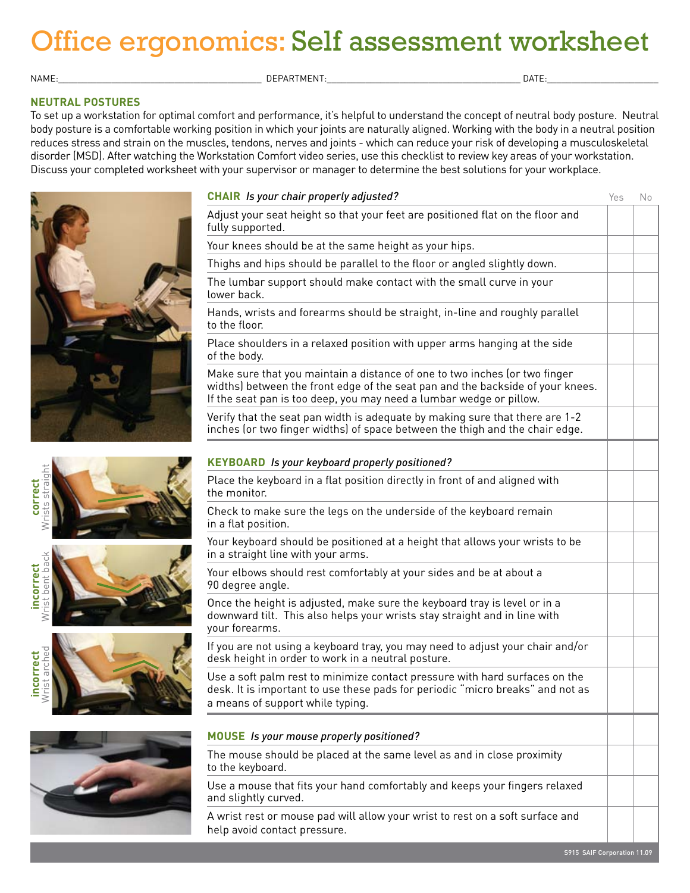# Office ergonomics: Self assessment worksheet

Name:\_\_\_\_\_\_\_\_\_\_\_\_\_\_\_\_\_\_\_\_\_\_\_\_\_\_\_\_\_\_\_\_\_\_\_\_\_\_\_\_\_\_ Department:\_\_\_\_\_\_\_\_\_\_\_\_\_\_\_\_\_\_\_\_\_\_\_\_\_\_\_\_\_\_\_\_\_\_\_\_\_\_\_\_ Date:\_\_\_\_\_\_\_\_\_\_\_\_\_\_\_\_\_\_\_\_\_\_\_

#### **Neutral Postures**

To set up a workstation for optimal comfort and performance, it's helpful to understand the concept of neutral body posture. Neutral body posture is a comfortable working position in which your joints are naturally aligned. Working with the body in a neutral position reduces stress and strain on the muscles, tendons, nerves and joints - which can reduce your risk of developing a musculoskeletal disorder (MSD). After watching the Workstation Comfort video series, use this checklist to review key areas of your workstation. Discuss your completed worksheet with your supervisor or manager to determine the best solutions for your workplace.

| <b>CHAIR</b> Is your chair properly adjusted?                                                                                                                                                                                       | Yes | No |
|-------------------------------------------------------------------------------------------------------------------------------------------------------------------------------------------------------------------------------------|-----|----|
| Adjust your seat height so that your feet are positioned flat on the floor and<br>fully supported.                                                                                                                                  |     |    |
| Your knees should be at the same height as your hips.                                                                                                                                                                               |     |    |
| Thighs and hips should be parallel to the floor or angled slightly down.                                                                                                                                                            |     |    |
| The lumbar support should make contact with the small curve in your<br>lower back.                                                                                                                                                  |     |    |
| Hands, wrists and forearms should be straight, in-line and roughly parallel<br>to the floor.                                                                                                                                        |     |    |
| Place shoulders in a relaxed position with upper arms hanging at the side<br>of the body.                                                                                                                                           |     |    |
| Make sure that you maintain a distance of one to two inches (or two finger<br>widths) between the front edge of the seat pan and the backside of your knees.<br>If the seat pan is too deep, you may need a lumbar wedge or pillow. |     |    |
| Verify that the seat pan width is adequate by making sure that there are 1-2<br>inches (or two finger widths) of space between the thigh and the chair edge.                                                                        |     |    |
| <b>KEYBOARD</b> Is your keyboard properly positioned?                                                                                                                                                                               |     |    |
| Place the keyboard in a flat position directly in front of and aligned with<br>the monitor.                                                                                                                                         |     |    |
| Check to make sure the legs on the underside of the keyboard remain<br>in a flat position.                                                                                                                                          |     |    |
| Your keyboard should be positioned at a height that allows your wrists to be<br>in a straight line with your arms.                                                                                                                  |     |    |
| Your elbows should rest comfortably at your sides and be at about a<br>90 degree angle.                                                                                                                                             |     |    |
| Once the height is adjusted, make sure the keyboard tray is level or in a<br>downward tilt. This also helps your wrists stay straight and in line with<br>your forearms.                                                            |     |    |
| If you are not using a keyboard tray, you may need to adjust your chair and/or<br>desk height in order to work in a neutral posture.                                                                                                |     |    |
| Use a soft palm rest to minimize contact pressure with hard surfaces on the<br>desk. It is important to use these pads for periodic "micro breaks" and not as<br>a means of support while typing.                                   |     |    |
| <b>MOUSE</b> Is your mouse properly positioned?                                                                                                                                                                                     |     |    |
| The mouse should be placed at the same level as and in close proximity<br>to the keyboard.                                                                                                                                          |     |    |
| Use a mouse that fits your hand comfortably and keeps your fingers relaxed<br>and slightly curved.                                                                                                                                  |     |    |
| A wrist rest or mouse pad will allow your wrist to rest on a soft surface and<br>help avoid contact pressure.                                                                                                                       |     |    |